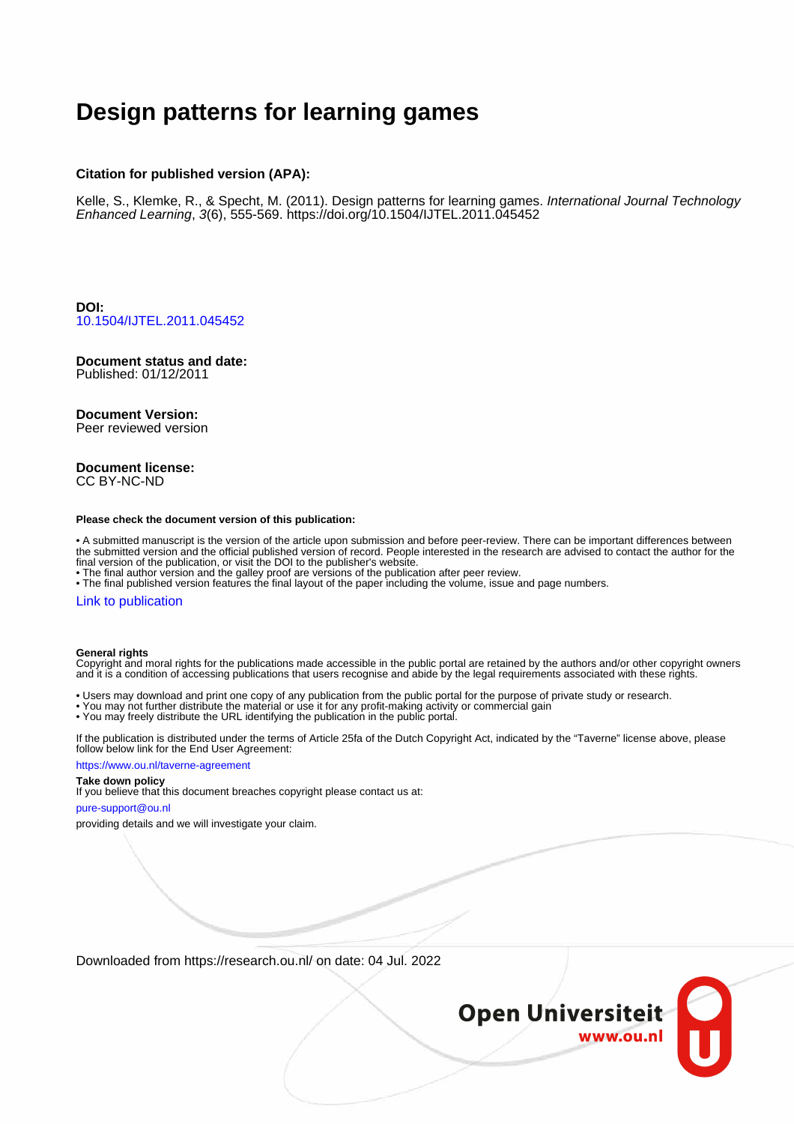# **Design patterns for learning games**

#### **Citation for published version (APA):**

Kelle, S., Klemke, R., & Specht, M. (2011). Design patterns for learning games. International Journal Technology Enhanced Learning, 3(6), 555-569. <https://doi.org/10.1504/IJTEL.2011.045452>

**DOI:** [10.1504/IJTEL.2011.045452](https://doi.org/10.1504/IJTEL.2011.045452)

## **Document status and date:**

Published: 01/12/2011

#### **Document Version:**

Peer reviewed version

#### **Document license:** CC BY-NC-ND

#### **Please check the document version of this publication:**

• A submitted manuscript is the version of the article upon submission and before peer-review. There can be important differences between the submitted version and the official published version of record. People interested in the research are advised to contact the author for the final version of the publication, or visit the DOI to the publisher's website.

• The final author version and the galley proof are versions of the publication after peer review.

• The final published version features the final layout of the paper including the volume, issue and page numbers.

#### [Link to publication](https://research.ou.nl/en/publications/0f74cd8f-e784-420f-9719-471279d9b60f)

#### **General rights**

Copyright and moral rights for the publications made accessible in the public portal are retained by the authors and/or other copyright owners and it is a condition of accessing publications that users recognise and abide by the legal requirements associated with these rights.

- Users may download and print one copy of any publication from the public portal for the purpose of private study or research.
- You may not further distribute the material or use it for any profit-making activity or commercial gain
- You may freely distribute the URL identifying the publication in the public portal.

If the publication is distributed under the terms of Article 25fa of the Dutch Copyright Act, indicated by the "Taverne" license above, please follow below link for the End User Agreement:

#### https://www.ou.nl/taverne-agreement

## **Take down policy**

If you believe that this document breaches copyright please contact us at:

#### pure-support@ou.nl

providing details and we will investigate your claim.

Downloaded from https://research.ou.nl/ on date: 04 Jul. 2022

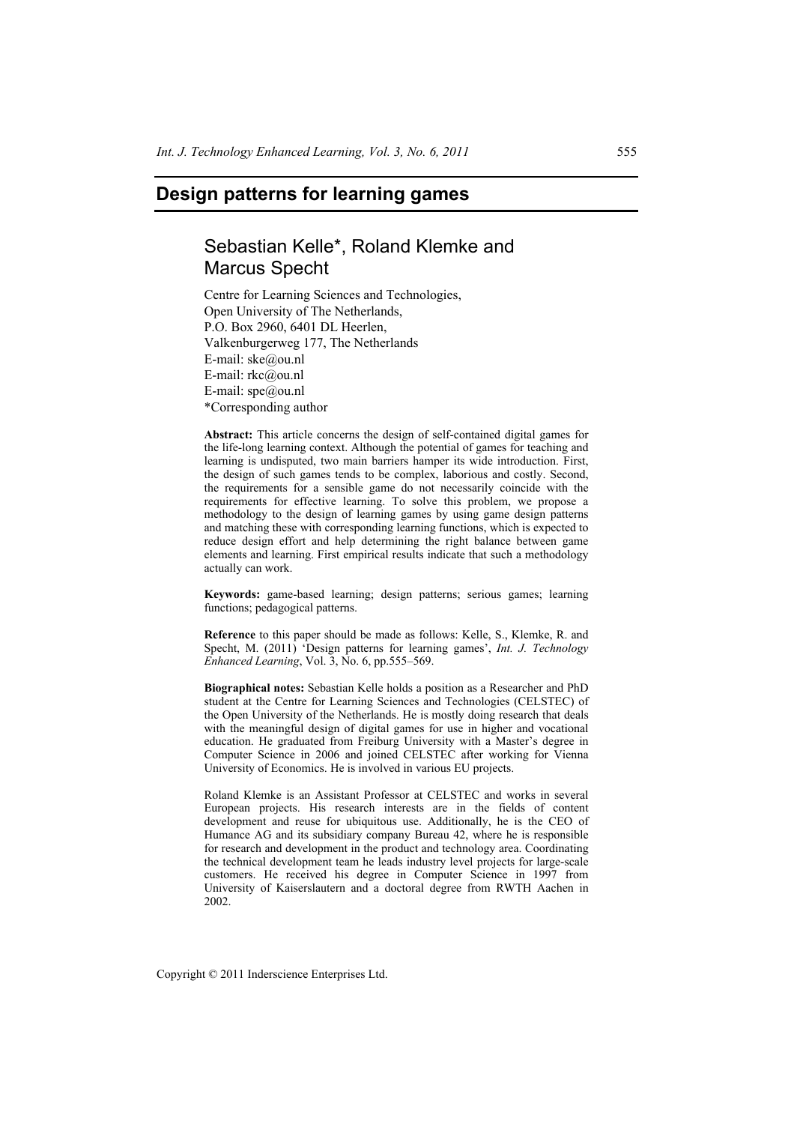# **Design patterns for learning games**

# Sebastian Kelle\*, Roland Klemke and Marcus Specht

Centre for Learning Sciences and Technologies, Open University of The Netherlands, P.O. Box 2960, 6401 DL Heerlen, Valkenburgerweg 177, The Netherlands E-mail: ske@ou.nl E-mail: rkc@ou.nl E-mail: spe@ou.nl \*Corresponding author

**Abstract:** This article concerns the design of self-contained digital games for the life-long learning context. Although the potential of games for teaching and learning is undisputed, two main barriers hamper its wide introduction. First, the design of such games tends to be complex, laborious and costly. Second, the requirements for a sensible game do not necessarily coincide with the requirements for effective learning. To solve this problem, we propose a methodology to the design of learning games by using game design patterns and matching these with corresponding learning functions, which is expected to reduce design effort and help determining the right balance between game elements and learning. First empirical results indicate that such a methodology actually can work.

**Keywords:** game-based learning; design patterns; serious games; learning functions; pedagogical patterns.

**Reference** to this paper should be made as follows: Kelle, S., Klemke, R. and Specht, M. (2011) 'Design patterns for learning games', *Int. J. Technology Enhanced Learning*, Vol. 3, No. 6, pp.555–569.

**Biographical notes:** Sebastian Kelle holds a position as a Researcher and PhD student at the Centre for Learning Sciences and Technologies (CELSTEC) of the Open University of the Netherlands. He is mostly doing research that deals with the meaningful design of digital games for use in higher and vocational education. He graduated from Freiburg University with a Master's degree in Computer Science in 2006 and joined CELSTEC after working for Vienna University of Economics. He is involved in various EU projects.

Roland Klemke is an Assistant Professor at CELSTEC and works in several European projects. His research interests are in the fields of content development and reuse for ubiquitous use. Additionally, he is the CEO of Humance AG and its subsidiary company Bureau 42, where he is responsible for research and development in the product and technology area. Coordinating the technical development team he leads industry level projects for large-scale customers. He received his degree in Computer Science in 1997 from University of Kaiserslautern and a doctoral degree from RWTH Aachen in 2002.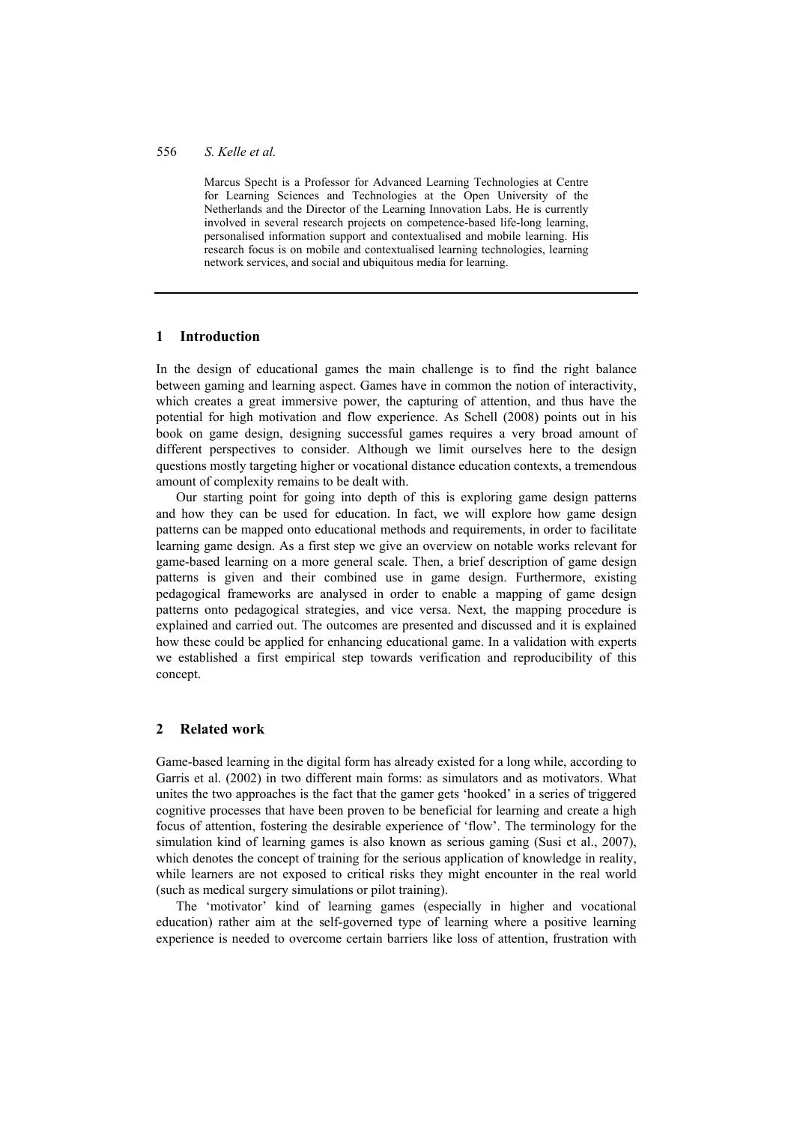Marcus Specht is a Professor for Advanced Learning Technologies at Centre for Learning Sciences and Technologies at the Open University of the Netherlands and the Director of the Learning Innovation Labs. He is currently involved in several research projects on competence-based life-long learning, personalised information support and contextualised and mobile learning. His research focus is on mobile and contextualised learning technologies, learning network services, and social and ubiquitous media for learning.

#### **1 Introduction**

In the design of educational games the main challenge is to find the right balance between gaming and learning aspect. Games have in common the notion of interactivity, which creates a great immersive power, the capturing of attention, and thus have the potential for high motivation and flow experience. As Schell (2008) points out in his book on game design, designing successful games requires a very broad amount of different perspectives to consider. Although we limit ourselves here to the design questions mostly targeting higher or vocational distance education contexts, a tremendous amount of complexity remains to be dealt with.

Our starting point for going into depth of this is exploring game design patterns and how they can be used for education. In fact, we will explore how game design patterns can be mapped onto educational methods and requirements, in order to facilitate learning game design. As a first step we give an overview on notable works relevant for game-based learning on a more general scale. Then, a brief description of game design patterns is given and their combined use in game design. Furthermore, existing pedagogical frameworks are analysed in order to enable a mapping of game design patterns onto pedagogical strategies, and vice versa. Next, the mapping procedure is explained and carried out. The outcomes are presented and discussed and it is explained how these could be applied for enhancing educational game. In a validation with experts we established a first empirical step towards verification and reproducibility of this concept.

#### **2 Related work**

Game-based learning in the digital form has already existed for a long while, according to Garris et al. (2002) in two different main forms: as simulators and as motivators. What unites the two approaches is the fact that the gamer gets 'hooked' in a series of triggered cognitive processes that have been proven to be beneficial for learning and create a high focus of attention, fostering the desirable experience of 'flow'. The terminology for the simulation kind of learning games is also known as serious gaming (Susi et al., 2007), which denotes the concept of training for the serious application of knowledge in reality, while learners are not exposed to critical risks they might encounter in the real world (such as medical surgery simulations or pilot training).

The 'motivator' kind of learning games (especially in higher and vocational education) rather aim at the self-governed type of learning where a positive learning experience is needed to overcome certain barriers like loss of attention, frustration with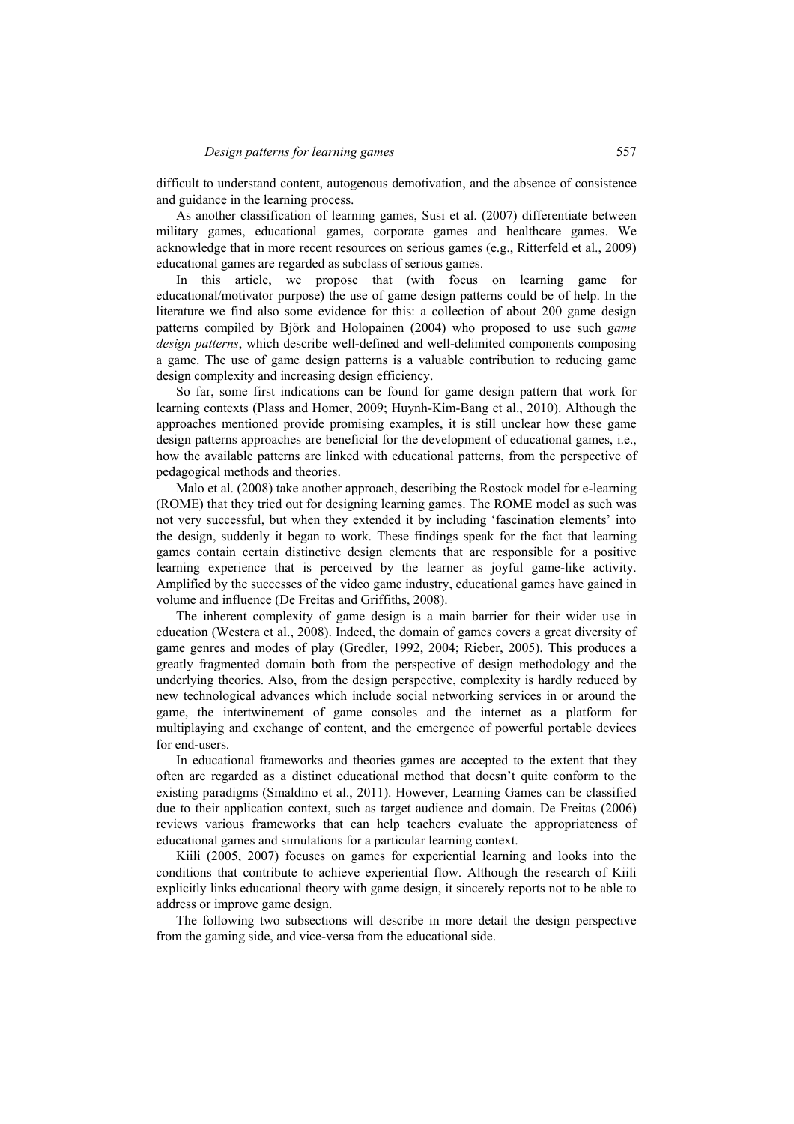difficult to understand content, autogenous demotivation, and the absence of consistence and guidance in the learning process.

As another classification of learning games, Susi et al. (2007) differentiate between military games, educational games, corporate games and healthcare games. We acknowledge that in more recent resources on serious games (e.g., Ritterfeld et al., 2009) educational games are regarded as subclass of serious games.

In this article, we propose that (with focus on learning game for educational/motivator purpose) the use of game design patterns could be of help. In the literature we find also some evidence for this: a collection of about 200 game design patterns compiled by Björk and Holopainen (2004) who proposed to use such *game design patterns*, which describe well-defined and well-delimited components composing a game. The use of game design patterns is a valuable contribution to reducing game design complexity and increasing design efficiency.

So far, some first indications can be found for game design pattern that work for learning contexts (Plass and Homer, 2009; Huynh-Kim-Bang et al., 2010). Although the approaches mentioned provide promising examples, it is still unclear how these game design patterns approaches are beneficial for the development of educational games, i.e., how the available patterns are linked with educational patterns, from the perspective of pedagogical methods and theories.

Malo et al. (2008) take another approach, describing the Rostock model for e-learning (ROME) that they tried out for designing learning games. The ROME model as such was not very successful, but when they extended it by including 'fascination elements' into the design, suddenly it began to work. These findings speak for the fact that learning games contain certain distinctive design elements that are responsible for a positive learning experience that is perceived by the learner as joyful game-like activity. Amplified by the successes of the video game industry, educational games have gained in volume and influence (De Freitas and Griffiths, 2008).

The inherent complexity of game design is a main barrier for their wider use in education (Westera et al., 2008). Indeed, the domain of games covers a great diversity of game genres and modes of play (Gredler, 1992, 2004; Rieber, 2005). This produces a greatly fragmented domain both from the perspective of design methodology and the underlying theories. Also, from the design perspective, complexity is hardly reduced by new technological advances which include social networking services in or around the game, the intertwinement of game consoles and the internet as a platform for multiplaying and exchange of content, and the emergence of powerful portable devices for end-users.

In educational frameworks and theories games are accepted to the extent that they often are regarded as a distinct educational method that doesn't quite conform to the existing paradigms (Smaldino et al., 2011). However, Learning Games can be classified due to their application context, such as target audience and domain. De Freitas (2006) reviews various frameworks that can help teachers evaluate the appropriateness of educational games and simulations for a particular learning context.

Kiili (2005, 2007) focuses on games for experiential learning and looks into the conditions that contribute to achieve experiential flow. Although the research of Kiili explicitly links educational theory with game design, it sincerely reports not to be able to address or improve game design.

The following two subsections will describe in more detail the design perspective from the gaming side, and vice-versa from the educational side.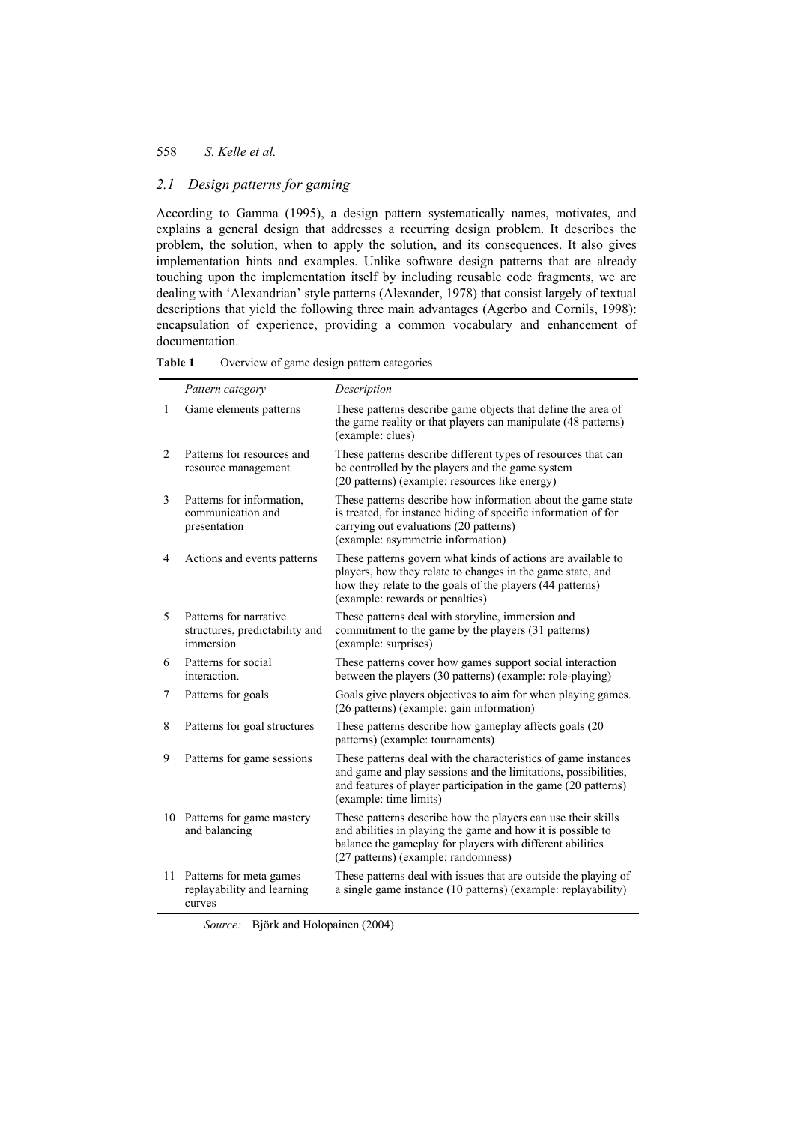## *2.1 Design patterns for gaming*

According to Gamma (1995), a design pattern systematically names, motivates, and explains a general design that addresses a recurring design problem. It describes the problem, the solution, when to apply the solution, and its consequences. It also gives implementation hints and examples. Unlike software design patterns that are already touching upon the implementation itself by including reusable code fragments, we are dealing with 'Alexandrian' style patterns (Alexander, 1978) that consist largely of textual descriptions that yield the following three main advantages (Agerbo and Cornils, 1998): encapsulation of experience, providing a common vocabulary and enhancement of documentation.

Table 1 Overview of game design pattern categories

|    | Pattern category                                                      | Description                                                                                                                                                                                                                     |
|----|-----------------------------------------------------------------------|---------------------------------------------------------------------------------------------------------------------------------------------------------------------------------------------------------------------------------|
| 1  | Game elements patterns                                                | These patterns describe game objects that define the area of<br>the game reality or that players can manipulate (48 patterns)<br>(example: clues)                                                                               |
| 2  | Patterns for resources and<br>resource management                     | These patterns describe different types of resources that can<br>be controlled by the players and the game system<br>(20 patterns) (example: resources like energy)                                                             |
| 3  | Patterns for information,<br>communication and<br>presentation        | These patterns describe how information about the game state<br>is treated, for instance hiding of specific information of for<br>carrying out evaluations (20 patterns)<br>(example: asymmetric information)                   |
| 4  | Actions and events patterns                                           | These patterns govern what kinds of actions are available to<br>players, how they relate to changes in the game state, and<br>how they relate to the goals of the players (44 patterns)<br>(example: rewards or penalties)      |
| 5  | Patterns for narrative<br>structures, predictability and<br>immersion | These patterns deal with storyline, immersion and<br>commitment to the game by the players (31 patterns)<br>(example: surprises)                                                                                                |
| 6  | Patterns for social<br>interaction.                                   | These patterns cover how games support social interaction<br>between the players (30 patterns) (example: role-playing)                                                                                                          |
| 7  | Patterns for goals                                                    | Goals give players objectives to aim for when playing games.<br>(26 patterns) (example: gain information)                                                                                                                       |
| 8  | Patterns for goal structures                                          | These patterns describe how gameplay affects goals (20)<br>patterns) (example: tournaments)                                                                                                                                     |
| 9  | Patterns for game sessions                                            | These patterns deal with the characteristics of game instances<br>and game and play sessions and the limitations, possibilities,<br>and features of player participation in the game (20 patterns)<br>(example: time limits)    |
|    | 10 Patterns for game mastery<br>and balancing                         | These patterns describe how the players can use their skills<br>and abilities in playing the game and how it is possible to<br>balance the gameplay for players with different abilities<br>(27 patterns) (example: randomness) |
| 11 | Patterns for meta games<br>replayability and learning<br>curves       | These patterns deal with issues that are outside the playing of<br>a single game instance (10 patterns) (example: replayability)                                                                                                |

*Source:* Björk and Holopainen (2004)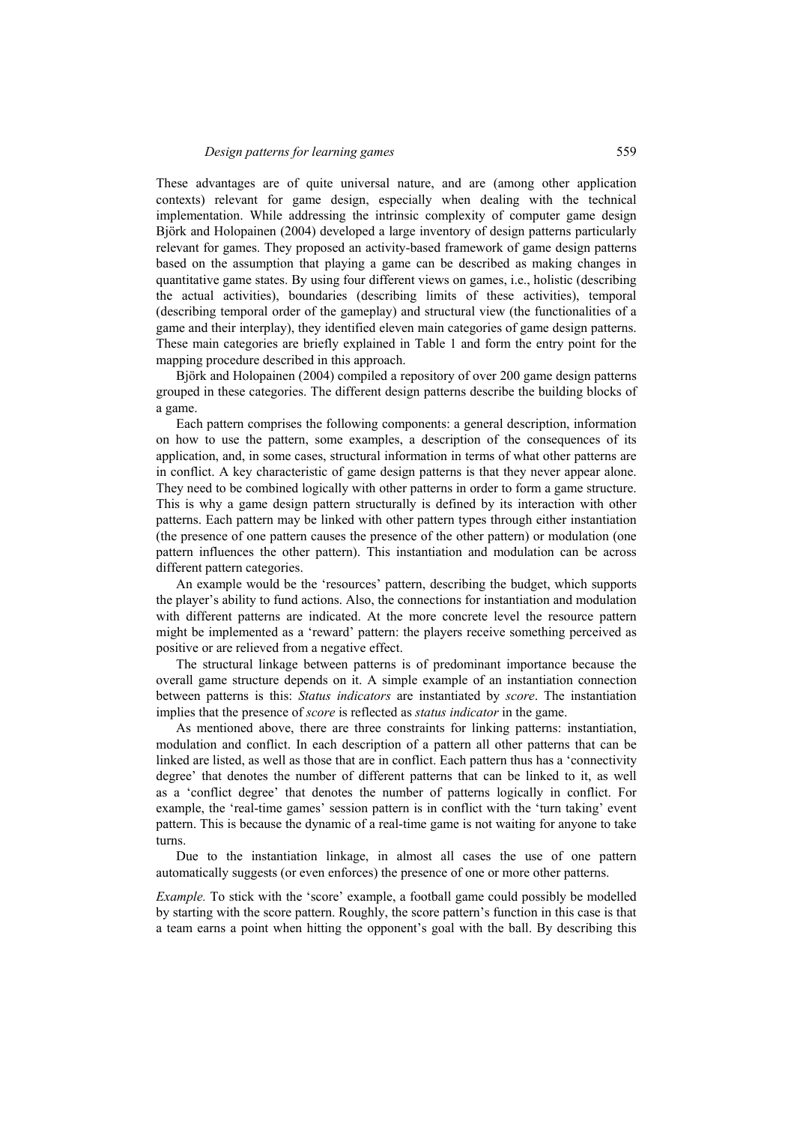These advantages are of quite universal nature, and are (among other application contexts) relevant for game design, especially when dealing with the technical implementation. While addressing the intrinsic complexity of computer game design Björk and Holopainen (2004) developed a large inventory of design patterns particularly relevant for games. They proposed an activity-based framework of game design patterns based on the assumption that playing a game can be described as making changes in quantitative game states. By using four different views on games, i.e., holistic (describing the actual activities), boundaries (describing limits of these activities), temporal (describing temporal order of the gameplay) and structural view (the functionalities of a game and their interplay), they identified eleven main categories of game design patterns. These main categories are briefly explained in Table 1 and form the entry point for the mapping procedure described in this approach.

Björk and Holopainen (2004) compiled a repository of over 200 game design patterns grouped in these categories. The different design patterns describe the building blocks of a game.

Each pattern comprises the following components: a general description, information on how to use the pattern, some examples, a description of the consequences of its application, and, in some cases, structural information in terms of what other patterns are in conflict. A key characteristic of game design patterns is that they never appear alone. They need to be combined logically with other patterns in order to form a game structure. This is why a game design pattern structurally is defined by its interaction with other patterns. Each pattern may be linked with other pattern types through either instantiation (the presence of one pattern causes the presence of the other pattern) or modulation (one pattern influences the other pattern). This instantiation and modulation can be across different pattern categories.

An example would be the 'resources' pattern, describing the budget, which supports the player's ability to fund actions. Also, the connections for instantiation and modulation with different patterns are indicated. At the more concrete level the resource pattern might be implemented as a 'reward' pattern: the players receive something perceived as positive or are relieved from a negative effect.

The structural linkage between patterns is of predominant importance because the overall game structure depends on it. A simple example of an instantiation connection between patterns is this: *Status indicators* are instantiated by *score*. The instantiation implies that the presence of *score* is reflected as *status indicator* in the game.

As mentioned above, there are three constraints for linking patterns: instantiation, modulation and conflict. In each description of a pattern all other patterns that can be linked are listed, as well as those that are in conflict. Each pattern thus has a 'connectivity degree' that denotes the number of different patterns that can be linked to it, as well as a 'conflict degree' that denotes the number of patterns logically in conflict. For example, the 'real-time games' session pattern is in conflict with the 'turn taking' event pattern. This is because the dynamic of a real-time game is not waiting for anyone to take turns.

Due to the instantiation linkage, in almost all cases the use of one pattern automatically suggests (or even enforces) the presence of one or more other patterns.

*Example.* To stick with the 'score' example, a football game could possibly be modelled by starting with the score pattern. Roughly, the score pattern's function in this case is that a team earns a point when hitting the opponent's goal with the ball. By describing this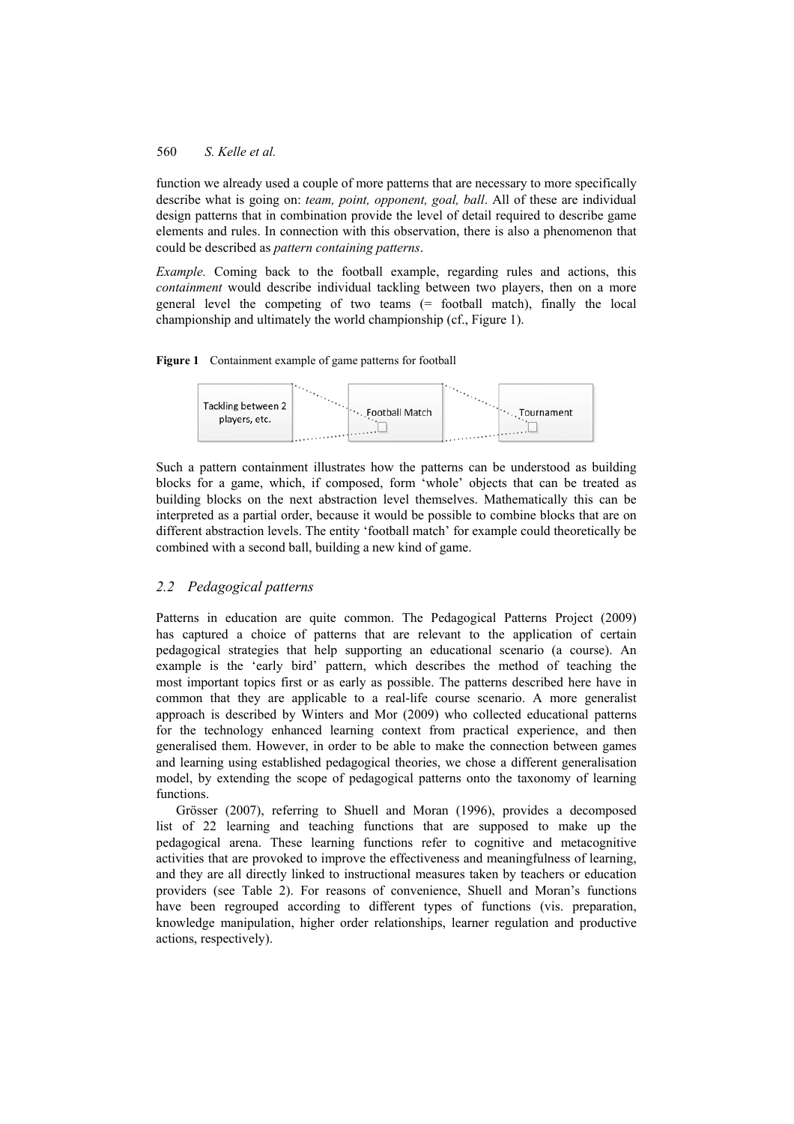function we already used a couple of more patterns that are necessary to more specifically describe what is going on: *team, point, opponent, goal, ball*. All of these are individual design patterns that in combination provide the level of detail required to describe game elements and rules. In connection with this observation, there is also a phenomenon that could be described as *pattern containing patterns*.

*Example.* Coming back to the football example, regarding rules and actions, this *containment* would describe individual tackling between two players, then on a more general level the competing of two teams (= football match), finally the local championship and ultimately the world championship (cf., Figure 1).

#### **Figure 1** Containment example of game patterns for football



Such a pattern containment illustrates how the patterns can be understood as building blocks for a game, which, if composed, form 'whole' objects that can be treated as building blocks on the next abstraction level themselves. Mathematically this can be interpreted as a partial order, because it would be possible to combine blocks that are on different abstraction levels. The entity 'football match' for example could theoretically be combined with a second ball, building a new kind of game.

#### *2.2 Pedagogical patterns*

Patterns in education are quite common. The Pedagogical Patterns Project (2009) has captured a choice of patterns that are relevant to the application of certain pedagogical strategies that help supporting an educational scenario (a course). An example is the 'early bird' pattern, which describes the method of teaching the most important topics first or as early as possible. The patterns described here have in common that they are applicable to a real-life course scenario. A more generalist approach is described by Winters and Mor (2009) who collected educational patterns for the technology enhanced learning context from practical experience, and then generalised them. However, in order to be able to make the connection between games and learning using established pedagogical theories, we chose a different generalisation model, by extending the scope of pedagogical patterns onto the taxonomy of learning functions.

Grösser (2007), referring to Shuell and Moran (1996), provides a decomposed list of 22 learning and teaching functions that are supposed to make up the pedagogical arena. These learning functions refer to cognitive and metacognitive activities that are provoked to improve the effectiveness and meaningfulness of learning, and they are all directly linked to instructional measures taken by teachers or education providers (see Table 2). For reasons of convenience, Shuell and Moran's functions have been regrouped according to different types of functions (vis. preparation, knowledge manipulation, higher order relationships, learner regulation and productive actions, respectively).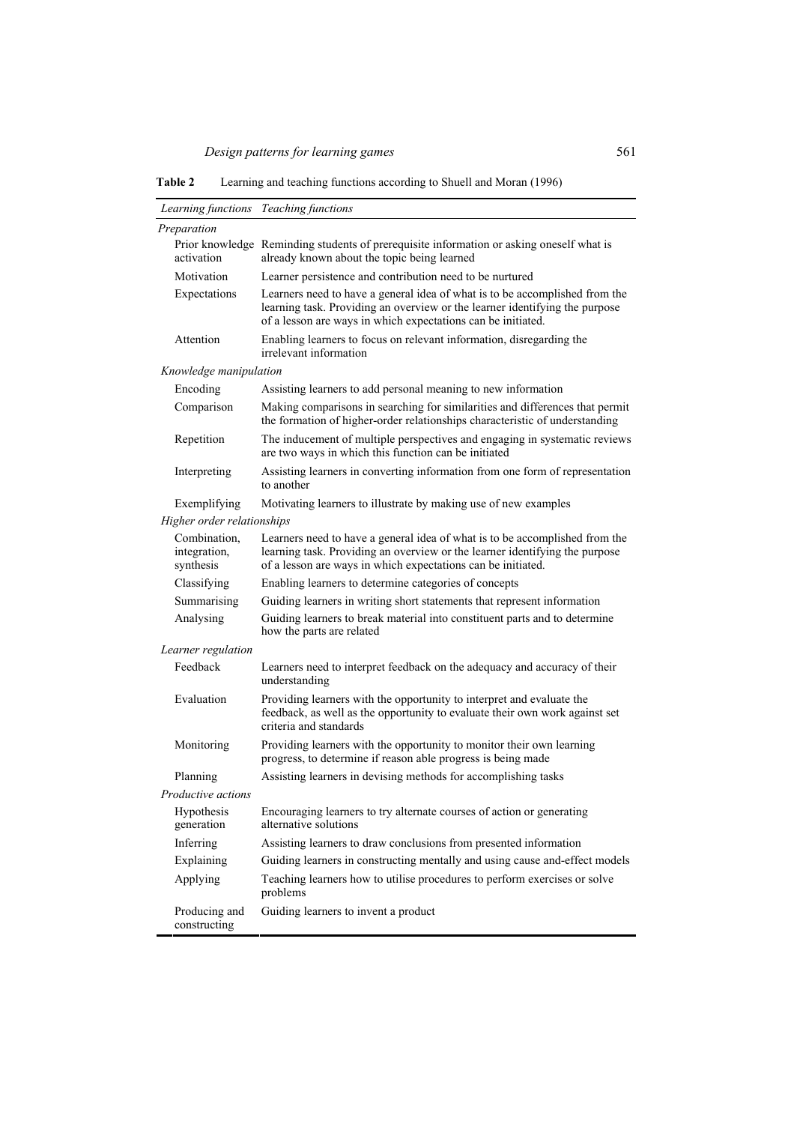**Table 2** Learning and teaching functions according to Shuell and Moran (1996)

| Learning functions                        | Teaching functions                                                                                                                                                                                                         |  |
|-------------------------------------------|----------------------------------------------------------------------------------------------------------------------------------------------------------------------------------------------------------------------------|--|
| Preparation                               |                                                                                                                                                                                                                            |  |
| activation                                | Prior knowledge Reminding students of prerequisite information or asking oneself what is<br>already known about the topic being learned                                                                                    |  |
| Motivation                                | Learner persistence and contribution need to be nurtured                                                                                                                                                                   |  |
| Expectations                              | Learners need to have a general idea of what is to be accomplished from the<br>learning task. Providing an overview or the learner identifying the purpose<br>of a lesson are ways in which expectations can be initiated. |  |
| Attention                                 | Enabling learners to focus on relevant information, disregarding the<br>irrelevant information                                                                                                                             |  |
| Knowledge manipulation                    |                                                                                                                                                                                                                            |  |
| Encoding                                  | Assisting learners to add personal meaning to new information                                                                                                                                                              |  |
| Comparison                                | Making comparisons in searching for similarities and differences that permit<br>the formation of higher-order relationships characteristic of understanding                                                                |  |
| Repetition                                | The inducement of multiple perspectives and engaging in systematic reviews<br>are two ways in which this function can be initiated                                                                                         |  |
| Interpreting                              | Assisting learners in converting information from one form of representation<br>to another                                                                                                                                 |  |
| Exemplifying                              | Motivating learners to illustrate by making use of new examples                                                                                                                                                            |  |
| Higher order relationships                |                                                                                                                                                                                                                            |  |
| Combination,<br>integration,<br>synthesis | Learners need to have a general idea of what is to be accomplished from the<br>learning task. Providing an overview or the learner identifying the purpose<br>of a lesson are ways in which expectations can be initiated. |  |
| Classifying                               | Enabling learners to determine categories of concepts                                                                                                                                                                      |  |
| Summarising                               | Guiding learners in writing short statements that represent information                                                                                                                                                    |  |
| Analysing                                 | Guiding learners to break material into constituent parts and to determine<br>how the parts are related                                                                                                                    |  |
| Learner regulation                        |                                                                                                                                                                                                                            |  |
| Feedback                                  | Learners need to interpret feedback on the adequacy and accuracy of their<br>understanding                                                                                                                                 |  |
| Evaluation                                | Providing learners with the opportunity to interpret and evaluate the<br>feedback, as well as the opportunity to evaluate their own work against set<br>criteria and standards                                             |  |
| Monitoring                                | Providing learners with the opportunity to monitor their own learning<br>progress, to determine if reason able progress is being made                                                                                      |  |
| Planning                                  | Assisting learners in devising methods for accomplishing tasks                                                                                                                                                             |  |
| Productive actions                        |                                                                                                                                                                                                                            |  |
| Hypothesis<br>generation                  | Encouraging learners to try alternate courses of action or generating<br>alternative solutions                                                                                                                             |  |
| Inferring                                 | Assisting learners to draw conclusions from presented information                                                                                                                                                          |  |
| Explaining                                | Guiding learners in constructing mentally and using cause and-effect models                                                                                                                                                |  |
| Applying                                  | Teaching learners how to utilise procedures to perform exercises or solve<br>problems                                                                                                                                      |  |
| Producing and<br>constructing             | Guiding learners to invent a product                                                                                                                                                                                       |  |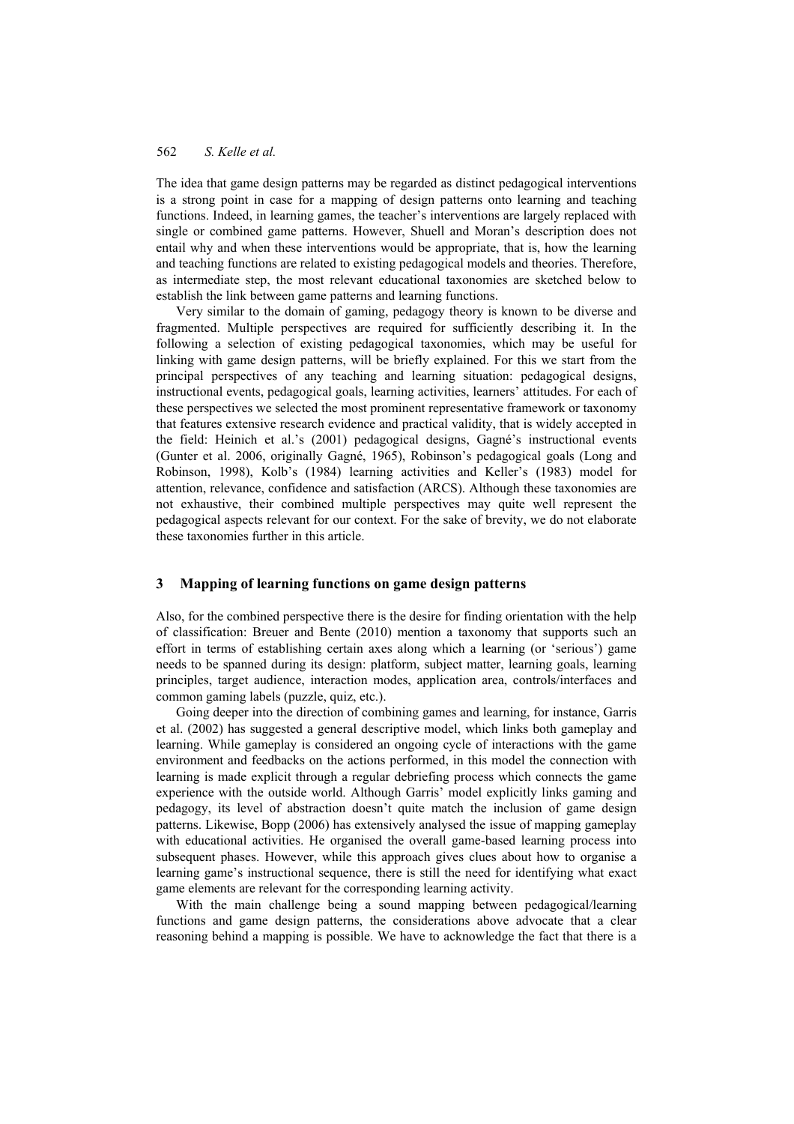The idea that game design patterns may be regarded as distinct pedagogical interventions is a strong point in case for a mapping of design patterns onto learning and teaching functions. Indeed, in learning games, the teacher's interventions are largely replaced with single or combined game patterns. However, Shuell and Moran's description does not entail why and when these interventions would be appropriate, that is, how the learning and teaching functions are related to existing pedagogical models and theories. Therefore, as intermediate step, the most relevant educational taxonomies are sketched below to establish the link between game patterns and learning functions.

Very similar to the domain of gaming, pedagogy theory is known to be diverse and fragmented. Multiple perspectives are required for sufficiently describing it. In the following a selection of existing pedagogical taxonomies, which may be useful for linking with game design patterns, will be briefly explained. For this we start from the principal perspectives of any teaching and learning situation: pedagogical designs, instructional events, pedagogical goals, learning activities, learners' attitudes. For each of these perspectives we selected the most prominent representative framework or taxonomy that features extensive research evidence and practical validity, that is widely accepted in the field: Heinich et al.'s (2001) pedagogical designs, Gagné's instructional events (Gunter et al. 2006, originally Gagné, 1965), Robinson's pedagogical goals (Long and Robinson, 1998), Kolb's (1984) learning activities and Keller's (1983) model for attention, relevance, confidence and satisfaction (ARCS). Although these taxonomies are not exhaustive, their combined multiple perspectives may quite well represent the pedagogical aspects relevant for our context. For the sake of brevity, we do not elaborate these taxonomies further in this article.

#### **3 Mapping of learning functions on game design patterns**

Also, for the combined perspective there is the desire for finding orientation with the help of classification: Breuer and Bente (2010) mention a taxonomy that supports such an effort in terms of establishing certain axes along which a learning (or 'serious') game needs to be spanned during its design: platform, subject matter, learning goals, learning principles, target audience, interaction modes, application area, controls/interfaces and common gaming labels (puzzle, quiz, etc.).

Going deeper into the direction of combining games and learning, for instance, Garris et al. (2002) has suggested a general descriptive model, which links both gameplay and learning. While gameplay is considered an ongoing cycle of interactions with the game environment and feedbacks on the actions performed, in this model the connection with learning is made explicit through a regular debriefing process which connects the game experience with the outside world. Although Garris' model explicitly links gaming and pedagogy, its level of abstraction doesn't quite match the inclusion of game design patterns. Likewise, Bopp (2006) has extensively analysed the issue of mapping gameplay with educational activities. He organised the overall game-based learning process into subsequent phases. However, while this approach gives clues about how to organise a learning game's instructional sequence, there is still the need for identifying what exact game elements are relevant for the corresponding learning activity.

With the main challenge being a sound mapping between pedagogical/learning functions and game design patterns, the considerations above advocate that a clear reasoning behind a mapping is possible. We have to acknowledge the fact that there is a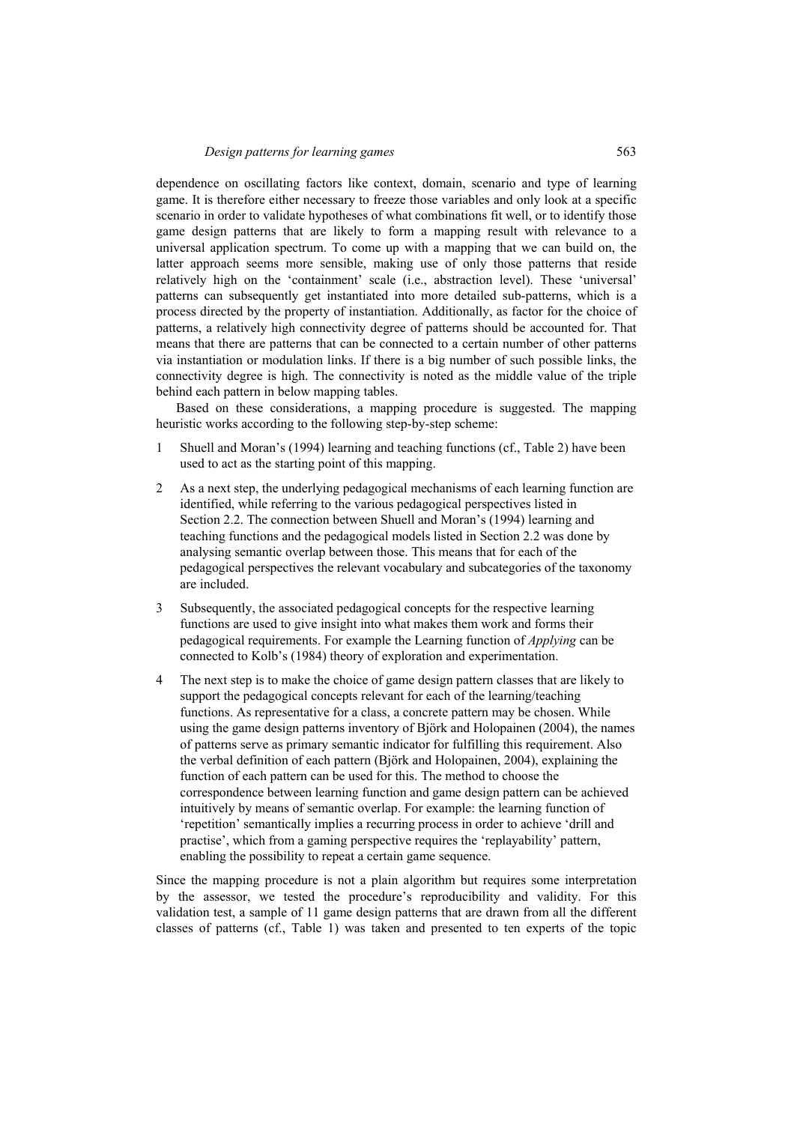dependence on oscillating factors like context, domain, scenario and type of learning game. It is therefore either necessary to freeze those variables and only look at a specific scenario in order to validate hypotheses of what combinations fit well, or to identify those game design patterns that are likely to form a mapping result with relevance to a universal application spectrum. To come up with a mapping that we can build on, the latter approach seems more sensible, making use of only those patterns that reside relatively high on the 'containment' scale (i.e., abstraction level). These 'universal' patterns can subsequently get instantiated into more detailed sub-patterns, which is a process directed by the property of instantiation. Additionally, as factor for the choice of patterns, a relatively high connectivity degree of patterns should be accounted for. That means that there are patterns that can be connected to a certain number of other patterns via instantiation or modulation links. If there is a big number of such possible links, the connectivity degree is high. The connectivity is noted as the middle value of the triple behind each pattern in below mapping tables.

Based on these considerations, a mapping procedure is suggested. The mapping heuristic works according to the following step-by-step scheme:

- 1 Shuell and Moran's (1994) learning and teaching functions (cf., Table 2) have been used to act as the starting point of this mapping.
- 2 As a next step, the underlying pedagogical mechanisms of each learning function are identified, while referring to the various pedagogical perspectives listed in Section 2.2. The connection between Shuell and Moran's (1994) learning and teaching functions and the pedagogical models listed in Section 2.2 was done by analysing semantic overlap between those. This means that for each of the pedagogical perspectives the relevant vocabulary and subcategories of the taxonomy are included.
- 3 Subsequently, the associated pedagogical concepts for the respective learning functions are used to give insight into what makes them work and forms their pedagogical requirements. For example the Learning function of *Applying* can be connected to Kolb's (1984) theory of exploration and experimentation.
- 4 The next step is to make the choice of game design pattern classes that are likely to support the pedagogical concepts relevant for each of the learning/teaching functions. As representative for a class, a concrete pattern may be chosen. While using the game design patterns inventory of Björk and Holopainen (2004), the names of patterns serve as primary semantic indicator for fulfilling this requirement. Also the verbal definition of each pattern (Björk and Holopainen, 2004), explaining the function of each pattern can be used for this. The method to choose the correspondence between learning function and game design pattern can be achieved intuitively by means of semantic overlap. For example: the learning function of 'repetition' semantically implies a recurring process in order to achieve 'drill and practise', which from a gaming perspective requires the 'replayability' pattern, enabling the possibility to repeat a certain game sequence.

Since the mapping procedure is not a plain algorithm but requires some interpretation by the assessor, we tested the procedure's reproducibility and validity. For this validation test, a sample of 11 game design patterns that are drawn from all the different classes of patterns (cf., Table 1) was taken and presented to ten experts of the topic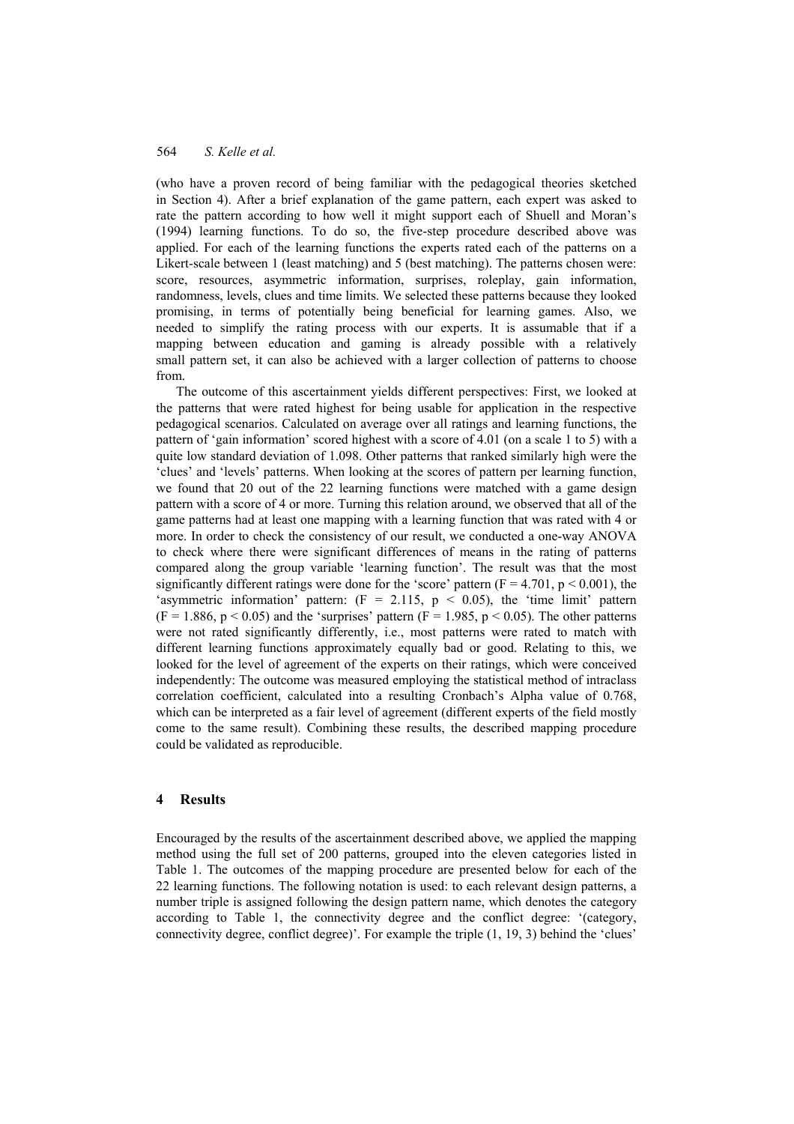(who have a proven record of being familiar with the pedagogical theories sketched in Section 4). After a brief explanation of the game pattern, each expert was asked to rate the pattern according to how well it might support each of Shuell and Moran's (1994) learning functions. To do so, the five-step procedure described above was applied. For each of the learning functions the experts rated each of the patterns on a Likert-scale between 1 (least matching) and 5 (best matching). The patterns chosen were: score, resources, asymmetric information, surprises, roleplay, gain information, randomness, levels, clues and time limits. We selected these patterns because they looked promising, in terms of potentially being beneficial for learning games. Also, we needed to simplify the rating process with our experts. It is assumable that if a mapping between education and gaming is already possible with a relatively small pattern set, it can also be achieved with a larger collection of patterns to choose from.

The outcome of this ascertainment yields different perspectives: First, we looked at the patterns that were rated highest for being usable for application in the respective pedagogical scenarios. Calculated on average over all ratings and learning functions, the pattern of 'gain information' scored highest with a score of 4.01 (on a scale 1 to 5) with a quite low standard deviation of 1.098. Other patterns that ranked similarly high were the 'clues' and 'levels' patterns. When looking at the scores of pattern per learning function, we found that 20 out of the 22 learning functions were matched with a game design pattern with a score of 4 or more. Turning this relation around, we observed that all of the game patterns had at least one mapping with a learning function that was rated with 4 or more. In order to check the consistency of our result, we conducted a one-way ANOVA to check where there were significant differences of means in the rating of patterns compared along the group variable 'learning function'. The result was that the most significantly different ratings were done for the 'score' pattern ( $F = 4.701$ ,  $p \le 0.001$ ), the 'asymmetric information' pattern:  $(F = 2.115, p < 0.05)$ , the 'time limit' pattern  $(F = 1.886, p < 0.05)$  and the 'surprises' pattern  $(F = 1.985, p < 0.05)$ . The other patterns were not rated significantly differently, i.e., most patterns were rated to match with different learning functions approximately equally bad or good. Relating to this, we looked for the level of agreement of the experts on their ratings, which were conceived independently: The outcome was measured employing the statistical method of intraclass correlation coefficient, calculated into a resulting Cronbach's Alpha value of 0.768, which can be interpreted as a fair level of agreement (different experts of the field mostly come to the same result). Combining these results, the described mapping procedure could be validated as reproducible.

## **4 Results**

Encouraged by the results of the ascertainment described above, we applied the mapping method using the full set of 200 patterns, grouped into the eleven categories listed in Table 1. The outcomes of the mapping procedure are presented below for each of the 22 learning functions. The following notation is used: to each relevant design patterns, a number triple is assigned following the design pattern name, which denotes the category according to Table 1, the connectivity degree and the conflict degree: '(category, connectivity degree, conflict degree)'. For example the triple (1, 19, 3) behind the 'clues'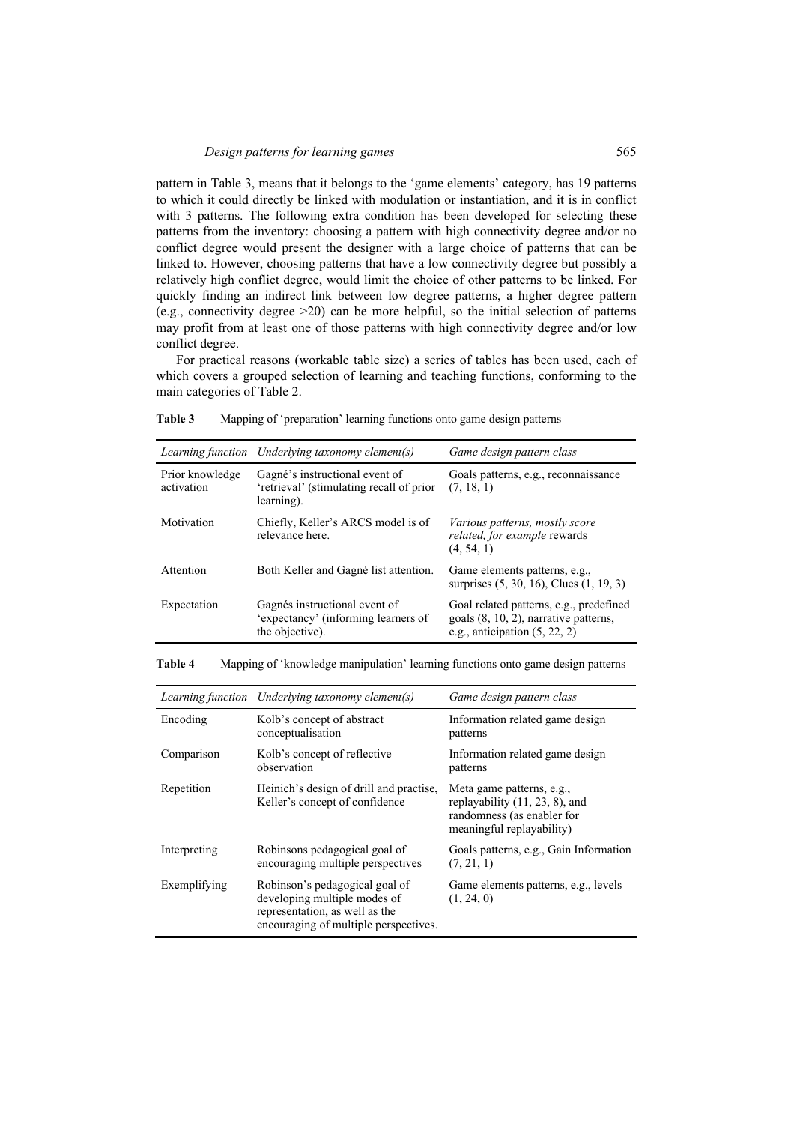pattern in Table 3, means that it belongs to the 'game elements' category, has 19 patterns to which it could directly be linked with modulation or instantiation, and it is in conflict with 3 patterns. The following extra condition has been developed for selecting these patterns from the inventory: choosing a pattern with high connectivity degree and/or no conflict degree would present the designer with a large choice of patterns that can be linked to. However, choosing patterns that have a low connectivity degree but possibly a relatively high conflict degree, would limit the choice of other patterns to be linked. For quickly finding an indirect link between low degree patterns, a higher degree pattern (e.g., connectivity degree >20) can be more helpful, so the initial selection of patterns may profit from at least one of those patterns with high connectivity degree and/or low conflict degree.

For practical reasons (workable table size) a series of tables has been used, each of which covers a grouped selection of learning and teaching functions, conforming to the main categories of Table 2.

**Table 3** Mapping of 'preparation' learning functions onto game design patterns

|                               | Learning function Underlying taxonomy element(s)                                         | Game design pattern class                                                                                              |
|-------------------------------|------------------------------------------------------------------------------------------|------------------------------------------------------------------------------------------------------------------------|
| Prior knowledge<br>activation | Gagné's instructional event of<br>'retrieval' (stimulating recall of prior<br>learning). | Goals patterns, e.g., reconnaissance<br>(7, 18, 1)                                                                     |
| Motivation                    | Chiefly, Keller's ARCS model is of<br>relevance here.                                    | <i>Various patterns, mostly score</i><br>related, for example rewards<br>(4, 54, 1)                                    |
| Attention                     | Both Keller and Gagné list attention.                                                    | Game elements patterns, e.g.,<br>surprises (5, 30, 16), Clues (1, 19, 3)                                               |
| Expectation                   | Gagnés instructional event of<br>'expectancy' (informing learners of<br>the objective).  | Goal related patterns, e.g., predefined<br>goals $(8, 10, 2)$ , narrative patterns,<br>e.g., anticipation $(5, 22, 2)$ |

**Table 4** Mapping of 'knowledge manipulation' learning functions onto game design patterns

|              | Learning function Underlying taxonomy element(s)                                                                                          | Game design pattern class                                                                                                 |
|--------------|-------------------------------------------------------------------------------------------------------------------------------------------|---------------------------------------------------------------------------------------------------------------------------|
| Encoding     | Kolb's concept of abstract<br>conceptualisation                                                                                           | Information related game design<br>patterns                                                                               |
| Comparison   | Kolb's concept of reflective<br>observation                                                                                               | Information related game design<br>patterns                                                                               |
| Repetition   | Heinich's design of drill and practise,<br>Keller's concept of confidence                                                                 | Meta game patterns, e.g.,<br>replayability $(11, 23, 8)$ , and<br>randomness (as enabler for<br>meaningful replayability) |
| Interpreting | Robinsons pedagogical goal of<br>encouraging multiple perspectives                                                                        | Goals patterns, e.g., Gain Information<br>(7, 21, 1)                                                                      |
| Exemplifying | Robinson's pedagogical goal of<br>developing multiple modes of<br>representation, as well as the<br>encouraging of multiple perspectives. | Game elements patterns, e.g., levels<br>(1, 24, 0)                                                                        |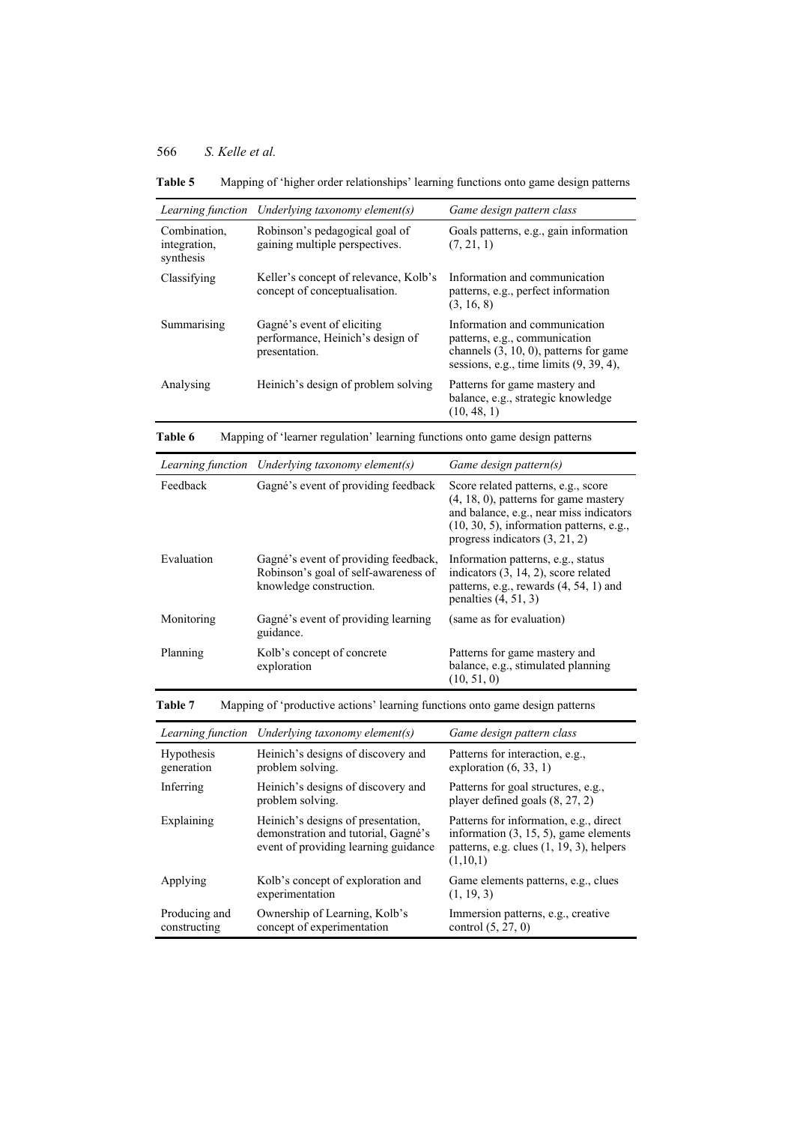**Table 5** Mapping of 'higher order relationships' learning functions onto game design patterns

| Learning function                         | Underlying taxonomy element(s)                                                  | Game design pattern class                                                                                                                                 |
|-------------------------------------------|---------------------------------------------------------------------------------|-----------------------------------------------------------------------------------------------------------------------------------------------------------|
| Combination,<br>integration,<br>synthesis | Robinson's pedagogical goal of<br>gaining multiple perspectives.                | Goals patterns, e.g., gain information<br>(7, 21, 1)                                                                                                      |
| Classifying                               | Keller's concept of relevance, Kolb's<br>concept of conceptualisation.          | Information and communication<br>patterns, e.g., perfect information<br>(3, 16, 8)                                                                        |
| Summarising                               | Gagné's event of eliciting<br>performance, Heinich's design of<br>presentation. | Information and communication<br>patterns, e.g., communication<br>channels $(3, 10, 0)$ , patterns for game<br>sessions, e.g., time limits $(9, 39, 4)$ , |
| Analysing                                 | Heinich's design of problem solving                                             | Patterns for game mastery and<br>balance, e.g., strategic knowledge<br>(10, 48, 1)                                                                        |

**Table 6** Mapping of 'learner regulation' learning functions onto game design patterns

|            | Learning function Underlying taxonomy element(s)                                                        | Game design pattern(s)                                                                                                                                                                                        |
|------------|---------------------------------------------------------------------------------------------------------|---------------------------------------------------------------------------------------------------------------------------------------------------------------------------------------------------------------|
| Feedback   | Gagné's event of providing feedback                                                                     | Score related patterns, e.g., score<br>$(4, 18, 0)$ , patterns for game mastery<br>and balance, e.g., near miss indicators<br>$(10, 30, 5)$ , information patterns, e.g.,<br>progress indicators $(3, 21, 2)$ |
| Evaluation | Gagné's event of providing feedback,<br>Robinson's goal of self-awareness of<br>knowledge construction. | Information patterns, e.g., status<br>indicators $(3, 14, 2)$ , score related<br>patterns, e.g., rewards (4, 54, 1) and<br>penalties $(4, 51, 3)$                                                             |
| Monitoring | Gagné's event of providing learning<br>guidance.                                                        | (same as for evaluation)                                                                                                                                                                                      |
| Planning   | Kolb's concept of concrete<br>exploration                                                               | Patterns for game mastery and<br>balance, e.g., stimulated planning<br>(10, 51, 0)                                                                                                                            |

**Table 7** Mapping of 'productive actions' learning functions onto game design patterns

| Learning function             | Underlying taxonomy element(s)                                                                                    | Game design pattern class                                                                                                                     |
|-------------------------------|-------------------------------------------------------------------------------------------------------------------|-----------------------------------------------------------------------------------------------------------------------------------------------|
| Hypothesis<br>generation      | Heinich's designs of discovery and<br>problem solving.                                                            | Patterns for interaction, e.g.,<br>exploration $(6, 33, 1)$                                                                                   |
| Inferring                     | Heinich's designs of discovery and<br>problem solving.                                                            | Patterns for goal structures, e.g.,<br>player defined goals $(8, 27, 2)$                                                                      |
| Explaining                    | Heinich's designs of presentation,<br>demonstration and tutorial, Gagné's<br>event of providing learning guidance | Patterns for information, e.g., direct<br>information $(3, 15, 5)$ , game elements<br>patterns, e.g. clues $(1, 19, 3)$ , helpers<br>(1,10,1) |
| Applying                      | Kolb's concept of exploration and<br>experimentation                                                              | Game elements patterns, e.g., clues<br>(1, 19, 3)                                                                                             |
| Producing and<br>constructing | Ownership of Learning, Kolb's<br>concept of experimentation                                                       | Immersion patterns, e.g., creative<br>control $(5, 27, 0)$                                                                                    |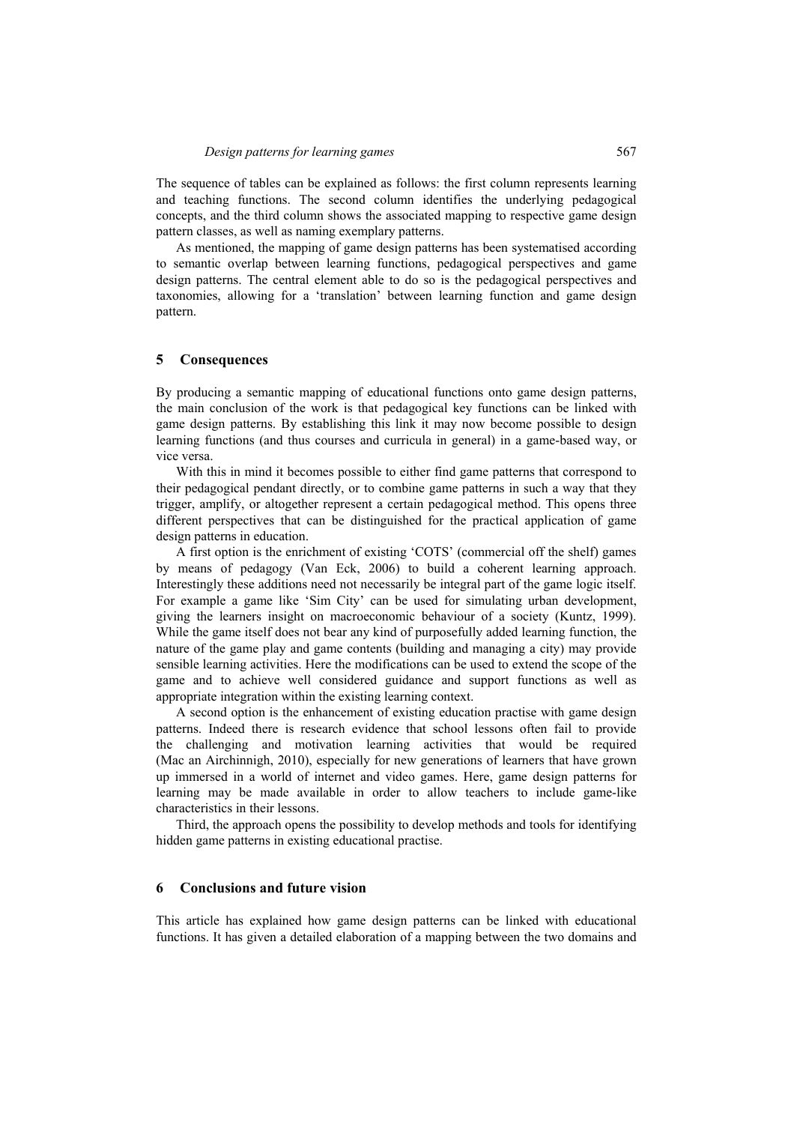The sequence of tables can be explained as follows: the first column represents learning and teaching functions. The second column identifies the underlying pedagogical concepts, and the third column shows the associated mapping to respective game design pattern classes, as well as naming exemplary patterns.

As mentioned, the mapping of game design patterns has been systematised according to semantic overlap between learning functions, pedagogical perspectives and game design patterns. The central element able to do so is the pedagogical perspectives and taxonomies, allowing for a 'translation' between learning function and game design pattern.

#### **5 Consequences**

By producing a semantic mapping of educational functions onto game design patterns, the main conclusion of the work is that pedagogical key functions can be linked with game design patterns. By establishing this link it may now become possible to design learning functions (and thus courses and curricula in general) in a game-based way, or vice versa.

With this in mind it becomes possible to either find game patterns that correspond to their pedagogical pendant directly, or to combine game patterns in such a way that they trigger, amplify, or altogether represent a certain pedagogical method. This opens three different perspectives that can be distinguished for the practical application of game design patterns in education.

A first option is the enrichment of existing 'COTS' (commercial off the shelf) games by means of pedagogy (Van Eck, 2006) to build a coherent learning approach. Interestingly these additions need not necessarily be integral part of the game logic itself. For example a game like 'Sim City' can be used for simulating urban development, giving the learners insight on macroeconomic behaviour of a society (Kuntz, 1999). While the game itself does not bear any kind of purposefully added learning function, the nature of the game play and game contents (building and managing a city) may provide sensible learning activities. Here the modifications can be used to extend the scope of the game and to achieve well considered guidance and support functions as well as appropriate integration within the existing learning context.

A second option is the enhancement of existing education practise with game design patterns. Indeed there is research evidence that school lessons often fail to provide the challenging and motivation learning activities that would be required (Mac an Airchinnigh, 2010), especially for new generations of learners that have grown up immersed in a world of internet and video games. Here, game design patterns for learning may be made available in order to allow teachers to include game-like characteristics in their lessons.

Third, the approach opens the possibility to develop methods and tools for identifying hidden game patterns in existing educational practise.

#### **6 Conclusions and future vision**

This article has explained how game design patterns can be linked with educational functions. It has given a detailed elaboration of a mapping between the two domains and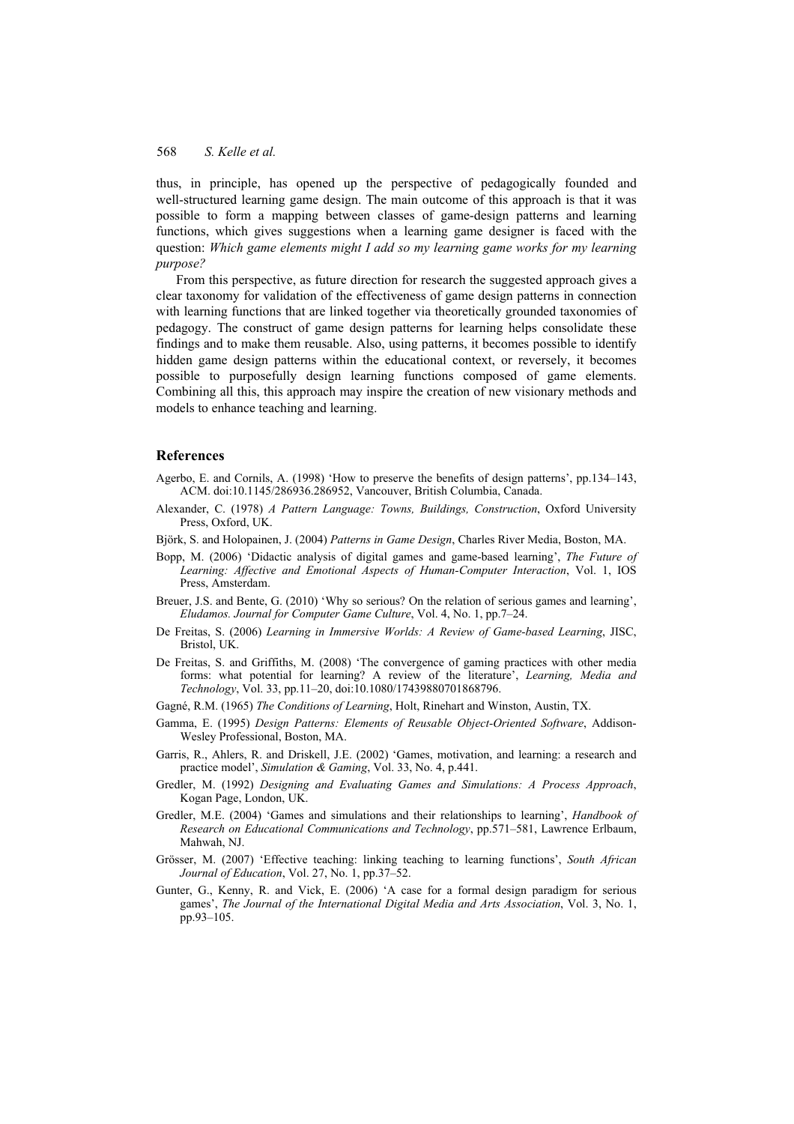thus, in principle, has opened up the perspective of pedagogically founded and well-structured learning game design. The main outcome of this approach is that it was possible to form a mapping between classes of game-design patterns and learning functions, which gives suggestions when a learning game designer is faced with the question: *Which game elements might I add so my learning game works for my learning purpose?* 

From this perspective, as future direction for research the suggested approach gives a clear taxonomy for validation of the effectiveness of game design patterns in connection with learning functions that are linked together via theoretically grounded taxonomies of pedagogy. The construct of game design patterns for learning helps consolidate these findings and to make them reusable. Also, using patterns, it becomes possible to identify hidden game design patterns within the educational context, or reversely, it becomes possible to purposefully design learning functions composed of game elements. Combining all this, this approach may inspire the creation of new visionary methods and models to enhance teaching and learning.

#### **References**

- Agerbo, E. and Cornils, A. (1998) 'How to preserve the benefits of design patterns', pp.134–143, ACM. doi:10.1145/286936.286952, Vancouver, British Columbia, Canada.
- Alexander, C. (1978) *A Pattern Language: Towns, Buildings, Construction*, Oxford University Press, Oxford, UK.
- Björk, S. and Holopainen, J. (2004) *Patterns in Game Design*, Charles River Media, Boston, MA.
- Bopp, M. (2006) 'Didactic analysis of digital games and game-based learning', *The Future of Learning: Affective and Emotional Aspects of Human-Computer Interaction*, Vol. 1, IOS Press, Amsterdam.
- Breuer, J.S. and Bente, G. (2010) 'Why so serious? On the relation of serious games and learning', *Eludamos. Journal for Computer Game Culture*, Vol. 4, No. 1, pp.7–24.
- De Freitas, S. (2006) *Learning in Immersive Worlds: A Review of Game-based Learning*, JISC, Bristol, UK.
- De Freitas, S. and Griffiths, M. (2008) 'The convergence of gaming practices with other media forms: what potential for learning? A review of the literature', *Learning, Media and Technology*, Vol. 33, pp.11–20, doi:10.1080/17439880701868796.
- Gagné, R.M. (1965) *The Conditions of Learning*, Holt, Rinehart and Winston, Austin, TX.
- Gamma, E. (1995) *Design Patterns: Elements of Reusable Object-Oriented Software*, Addison-Wesley Professional, Boston, MA.
- Garris, R., Ahlers, R. and Driskell, J.E. (2002) 'Games, motivation, and learning: a research and practice model', *Simulation & Gaming*, Vol. 33, No. 4, p.441.
- Gredler, M. (1992) *Designing and Evaluating Games and Simulations: A Process Approach*, Kogan Page, London, UK.
- Gredler, M.E. (2004) 'Games and simulations and their relationships to learning', *Handbook of Research on Educational Communications and Technology*, pp.571–581, Lawrence Erlbaum, Mahwah, NJ.
- Grösser, M. (2007) 'Effective teaching: linking teaching to learning functions', *South African Journal of Education*, Vol. 27, No. 1, pp.37–52.
- Gunter, G., Kenny, R. and Vick, E. (2006) 'A case for a formal design paradigm for serious games', *The Journal of the International Digital Media and Arts Association*, Vol. 3, No. 1, pp.93–105.